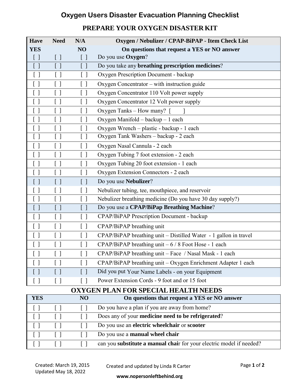## **Oxygen Users Disaster Evacuation Planning Checklist**

## **PREPARE YOUR OXYGEN DISASTER KIT**

| <b>Have</b>    | <b>Need</b>                                   | N/A                                           | Oxygen / Nebulizer / CPAP-BiPAP - Item Check List                |
|----------------|-----------------------------------------------|-----------------------------------------------|------------------------------------------------------------------|
| <b>YES</b>     |                                               | NO                                            | On questions that request a YES or NO answer                     |
| $[\ ]$         | $[\,\,]$                                      | $[\ ]$                                        | Do you use Oxygen?                                               |
| $[\ ]$         | $[ \ ]$                                       | $[\ ]$                                        | Do you take any <b>breathing prescription medicines</b> ?        |
| $[\ ]$         | $[\ ]$                                        | $[\ ]$                                        | Oxygen Prescription Document - backup                            |
| $[\ ]$         | $[ \ ]$                                       | $[\ ]$                                        | Oxygen Concentrator – with instruction guide                     |
| $[\ ]$         | []                                            | $\Box$                                        | Oxygen Concentrator 110 Volt power supply                        |
| $[\ ]$         | [ ]                                           | $[\ ]$                                        | Oxygen Concentrator 12 Volt power supply                         |
| $[\ ]$         | $[\ ]$                                        | $\begin{bmatrix} \end{bmatrix}$               | Oxygen Tanks – How many? [                                       |
| $[\ ]$         | $[ \ ]$                                       | $[\ ]$                                        | Oxygen Manifold - backup - 1 each                                |
| $[\ ]$         | $[\ ]$                                        | $\begin{bmatrix} \end{bmatrix}$               | Oxygen Wrench – plastic - backup - 1 each                        |
| $[ \ ]$        | $[ \ ]$                                       | $[ \ ]$                                       | Oxygen Tank Washers - backup - 2 each                            |
| $[\ ]$         | $\left[ \begin{array}{c} \end{array} \right]$ | $[\ ]$                                        | Oxygen Nasal Cannula - 2 each                                    |
| $[\ ]$         | [ ]                                           | $[\ ]$                                        | Oxygen Tubing 7 foot extension - 2 each                          |
| $[\ ]$         | $[\ ]$                                        | $\begin{bmatrix} \end{bmatrix}$               | Oxygen Tubing 20 foot extension - 1 each                         |
| $[ \ ]$        | [ ]                                           | $\left[ \begin{array}{c} \end{array} \right]$ | Oxygen Extension Connectors - 2 each                             |
| $[\ ]$         | $\begin{bmatrix} \end{bmatrix}$               | $\begin{bmatrix} 1 \end{bmatrix}$             | Do you use Nebulizer?                                            |
| $[\ ]$         | $\left[ \begin{array}{c} \end{array} \right]$ | $\left[ \begin{array}{c} \end{array} \right]$ | Nebulizer tubing, tee, mouthpiece, and reservoir                 |
| $[\ ]$         | $\left[ \begin{array}{c} \end{array} \right]$ | $\begin{bmatrix} \end{bmatrix}$               | Nebulizer breathing medicine (Do you have 30 day supply?)        |
| $[ \ ]$        | $[ \ ]$                                       | $[\ ]$                                        | Do you use a CPAP/BiPap Breathing Machine?                       |
| $[ \ ]$        | $[\ ]$                                        | $\left[ \begin{array}{c} \end{array} \right]$ | CPAP/BiPAP Prescription Document - backup                        |
| $[ \ ]$        | $[\ ]$                                        | $[ \ ]$                                       | CPAP/BiPAP breathing unit                                        |
| $[\ ]$         | $[ \ ]$                                       | $\left[\begin{array}{c}1\end{array}\right]$   | CPAP/BiPAP breathing unit - Distilled Water - 1 gallon in travel |
| $[ \ ]$        | $[ \ ]$                                       | $[ \ ]$                                       | CPAP/BiPAP breathing unit $-6/8$ Foot Hose - 1 each              |
| $\overline{1}$ |                                               |                                               | CPAP/BiPAP breathing unit - Face / Nasal Mask - 1 each           |
| $[\ ]$         | $[\ ]$                                        | $\lceil$ $\rceil$                             | CPAP/BiPAP breathing unit - Oxygen Enrichment Adapter 1 each     |
| U              | $\left[ \begin{array}{c} \end{array} \right]$ | $\Box$                                        | Did you put Your Name Labels - on your Equipment                 |
| $[\ ]$         | $[\ ]$                                        | $[\ ]$                                        | Power Extension Cords - 9 foot and or 15 foot                    |
|                |                                               |                                               | <b>OXYGEN PLAN FOR SPECIAL HEALTH NEEDS</b>                      |

| <b>YES</b> |         | <b>NO</b> | On questions that request a YES or NO answer                         |
|------------|---------|-----------|----------------------------------------------------------------------|
|            |         |           | Do you have a plan if you are away from home?                        |
|            |         |           | Does any of your medicine need to be refrigerated?                   |
|            |         |           | Do you use an electric wheelchair or scooter                         |
|            | $\perp$ |           | Do you use a <b>manual wheel chair</b>                               |
|            |         |           | can you substitute a manual chair for your electric model if needed? |